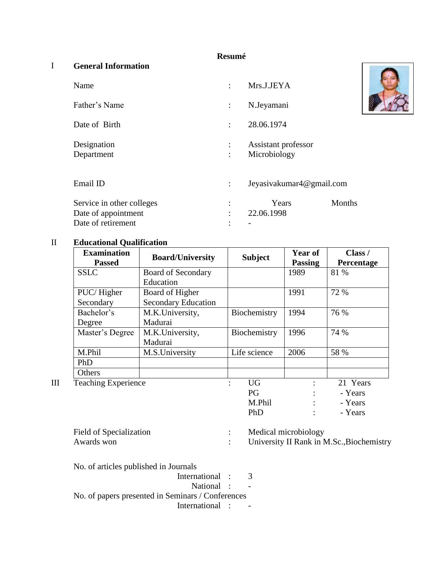# **Resumé**

# I **General Information**

| Name                      |                                    | Mrs.J.JEYA                          |        |
|---------------------------|------------------------------------|-------------------------------------|--------|
| Father's Name             | $\ddot{\cdot}$                     | N.Jeyamani                          |        |
| Date of Birth             | 28.06.1974<br>$\ddot{\phantom{a}}$ |                                     |        |
| Designation<br>Department | $\ddot{\cdot}$                     | Assistant professor<br>Microbiology |        |
| Email ID                  | ÷                                  | Jeyasiyakumar4@gmail.com            |        |
| Service in other colleges |                                    | Years                               | Months |
| Date of appointment       |                                    | 22.06.1998                          |        |
| Date of retirement        |                                    |                                     |        |

# II **Educational Qualification**

|   | <b>Examination</b><br><b>Passed</b> | <b>Board/University</b>    | <b>Subject</b>                    | Year of<br><b>Passing</b> | Class /<br>Percentage |
|---|-------------------------------------|----------------------------|-----------------------------------|---------------------------|-----------------------|
|   | <b>SSLC</b>                         | <b>Board of Secondary</b>  |                                   | 1989                      | 81 %                  |
|   |                                     | Education                  |                                   |                           |                       |
|   | PUC/Higher                          | Board of Higher            |                                   | 1991                      | 72 %                  |
|   | Secondary                           | <b>Secondary Education</b> |                                   |                           |                       |
|   | Bachelor's                          | M.K.University,            | Biochemistry                      | 1994                      | 76 %                  |
|   | Degree                              | Madurai                    |                                   |                           |                       |
|   | Master's Degree                     | M.K.University,            | Biochemistry                      | 1996                      | 74 %                  |
|   |                                     | Madurai                    |                                   |                           |                       |
|   | M.Phil                              | M.S.University             | Life science                      | 2006                      | 58 %                  |
|   | PhD                                 |                            |                                   |                           |                       |
|   | Others                              |                            |                                   |                           |                       |
| Ш | <b>Teaching Experience</b>          |                            | <b>UG</b><br>$\ddot{\phantom{a}}$ |                           | 21 Years              |
|   |                                     |                            | PG                                |                           | - Years               |
|   |                                     |                            | M.Phil                            |                           | - Years               |
|   |                                     |                            | PhD                               |                           | - Years               |

Field of Specialization : Field of Specialization : Medical microbiology<br>Awards won : University II Rank in M.Sc.,Biochemistry

No. of articles published in Journals

| International :                                   |  |
|---------------------------------------------------|--|
| National :                                        |  |
| No. of papers presented in Seminars / Conferences |  |
| International :                                   |  |

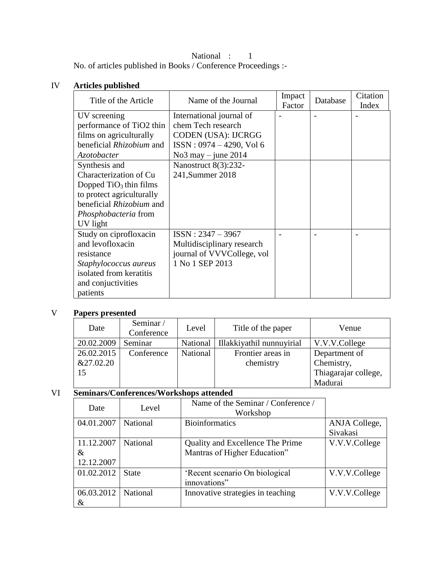# National : 1

No. of articles published in Books / Conference Proceedings :-

#### IV **Articles published**

| Title of the Article        | Name of the Journal         | Impact<br>Factor | Database | Citation<br>Index |
|-----------------------------|-----------------------------|------------------|----------|-------------------|
| UV screening                | International journal of    |                  |          |                   |
| performance of TiO2 thin    | chem Tech research          |                  |          |                   |
| films on agriculturally     | CODEN (USA): IJCRGG         |                  |          |                   |
| beneficial Rhizobium and    | $ISSN: 0974 - 4290$ , Vol 6 |                  |          |                   |
| Azotobacter                 | No $3$ may $-$ june 2014    |                  |          |                   |
| Synthesis and               | Nanostruct 8(3):232-        |                  |          |                   |
| Characterization of Cu      | 241, Summer 2018            |                  |          |                   |
| Dopped $TiO3$ thin films    |                             |                  |          |                   |
| to protect agriculturally   |                             |                  |          |                   |
| beneficial Rhizobium and    |                             |                  |          |                   |
| <i>Phosphobacteria</i> from |                             |                  |          |                   |
| UV light                    |                             |                  |          |                   |
| Study on ciprofloxacin      | $ISSN: 2347 - 3967$         |                  |          |                   |
| and levofloxacin            | Multidisciplinary research  |                  |          |                   |
| resistance                  | journal of VVVCollege, vol  |                  |          |                   |
| Staphylococcus aureus       | 1 No 1 SEP 2013             |                  |          |                   |
| isolated from keratitis     |                             |                  |          |                   |
| and conjuctivities          |                             |                  |          |                   |
| patients                    |                             |                  |          |                   |

# V **Papers presented**

| Date                          | Seminar/<br>Conference | Level    | Title of the paper             | Venue                                                          |
|-------------------------------|------------------------|----------|--------------------------------|----------------------------------------------------------------|
| 20.02.2009                    | Seminar                | National | Illakkiyathil nunnuyirial      | V.V.V.College                                                  |
| 26.02.2015<br>&27.02.20<br>15 | Conference             | National | Frontier areas in<br>chemistry | Department of<br>Chemistry,<br>Thiagarajar college,<br>Madurai |

# VI **Seminars/Conferences/Workshops attended**

| Date       | Level           | Name of the Seminar / Conference /<br>Workshop |               |
|------------|-----------------|------------------------------------------------|---------------|
| 04.01.2007 | <b>National</b> | <b>Bioinformatics</b>                          | ANJA College, |
|            |                 |                                                | Sivakasi      |
| 11.12.2007 | <b>National</b> | Quality and Excellence The Prime               | V.V.V.College |
| &          |                 | Mantras of Higher Education"                   |               |
| 12.12.2007 |                 |                                                |               |
| 01.02.2012 | <b>State</b>    | 'Recent scenario On biological                 | V.V.V.College |
|            |                 | innovations"                                   |               |
| 06.03.2012 | <b>National</b> | Innovative strategies in teaching              | V.V.V.College |
| &          |                 |                                                |               |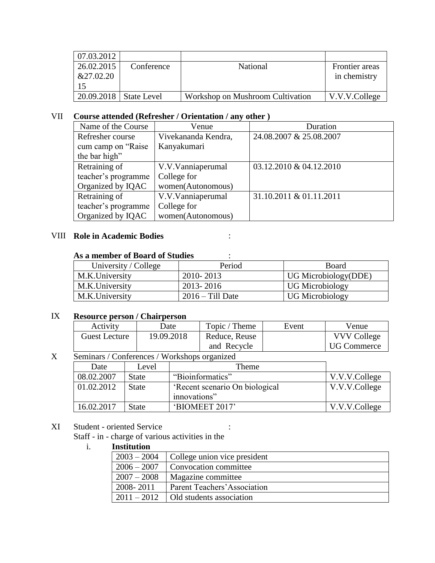| 07.03.2012 |             |                                  |                      |
|------------|-------------|----------------------------------|----------------------|
| 26.02.2015 | Conference  | National                         | Frontier areas       |
| &27.02.20  |             |                                  | in chemistry         |
|            |             |                                  |                      |
| 20.09.2018 | State Level | Workshop on Mushroom Cultivation | $\mid$ V.V.V.College |

# VII **Course attended (Refresher / Orientation / any other )**

| Name of the Course  | Venue               | Duration                |
|---------------------|---------------------|-------------------------|
| Refresher course    | Vivekananda Kendra, | 24.08.2007 & 25.08.2007 |
| cum camp on "Raise" | Kanyakumari         |                         |
| the bar high"       |                     |                         |
| Retraining of       | V.V.Vanniaperumal   | 03.12.2010 & 04.12.2010 |
| teacher's programme | College for         |                         |
| Organized by IQAC   | women(Autonomous)   |                         |
| Retraining of       | V.V.Vanniaperumal   | 31.10.2011 & 01.11.2011 |
| teacher's programme | College for         |                         |
| Organized by IQAC   | women(Autonomous)   |                         |

#### VIII **Role in Academic Bodies** :

# **As a member of Board of Studies** :

| University / College | Period             | <b>Board</b>           |
|----------------------|--------------------|------------------------|
| M.K.University       | 2010-2013          | UG Microbiology(DDE)   |
| M.K.University       | 2013-2016          | <b>UG Microbiology</b> |
| M.K.University       | $2016 -$ Till Date | <b>UG Microbiology</b> |

#### IX **Resource person / Chairperson**

| Activity      | Date       | Topic / Theme | Event | Venue              |
|---------------|------------|---------------|-------|--------------------|
| Guest Lecture | 19.09.2018 | Reduce, Reuse |       | <b>VVV College</b> |
|               |            | and Recycle   |       | UG Commerce        |

# X Seminars / Conferences / Workshops organized

| Date       | Level        | Theme                          |                         |
|------------|--------------|--------------------------------|-------------------------|
| 08.02.2007 | <b>State</b> | "Bioinformatics"               | $\sqrt{V.V.V.}$ College |
| 01.02.2012 | <b>State</b> | 'Recent scenario On biological | V.V.V.College           |
|            |              | innovations"                   |                         |
| 16.02.2017 | <b>State</b> | 'BIOMEET 2017'                 | V.V.V.College           |

# XI Student - oriented Service :

Staff - in - charge of various activities in the<br>i. **Institution** 

# i. **Institution**

| $2003 - 2004$ | College union vice president |
|---------------|------------------------------|
| $2006 - 2007$ | Convocation committee        |
| $2007 - 2008$ | Magazine committee           |
| 2008-2011     | Parent Teachers' Association |
| $2011 - 2012$ | Old students association     |